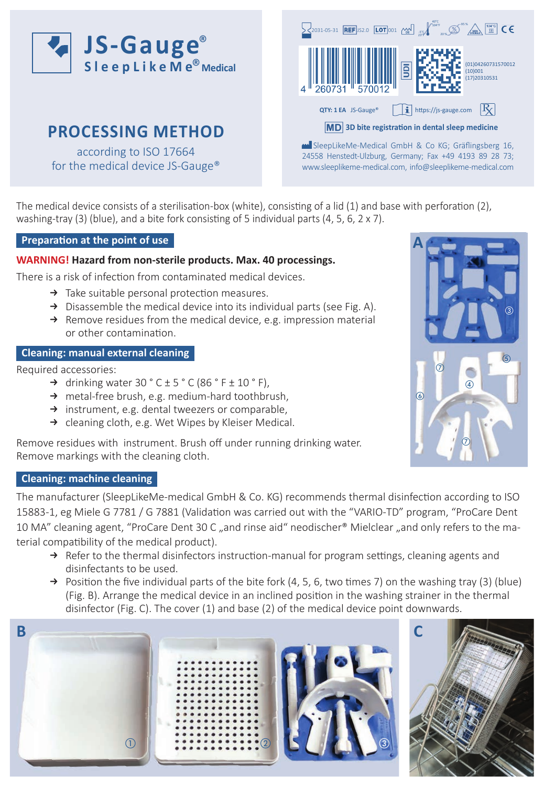

# **PROCESSING METHOD**

according to ISO 17664 for the medical device JS-Gauge®



SleepLikeMe-Medical GmbH & Co KG; Gräflingsberg 16, 24558 Henstedt-Ulzburg, Germany; Fax +49 4193 89 28 73; www.sleeplikeme-medical.com, info@sleeplikeme-medical.com

The medical device consists of a sterilisation-box (white), consisting of a lid (1) and base with perforation (2), washing-tray (3) (blue), and a bite fork consisting of 5 individual parts (4, 5, 6, 2 x 7).

# **Preparation at the point of use**

## **WARNING! Hazard from non-sterile products. Max. 40 processings.**

There is a risk of infection from contaminated medical devices.

- $\rightarrow$  Take suitable personal protection measures.
- $\rightarrow$  Disassemble the medical device into its individual parts (see Fig. A).
- $\rightarrow$  Remove residues from the medical device, e.g. impression material or other contamination.

# **Cleaning: manual external cleaning**

Required accessories:

- $\rightarrow$  drinking water 30 ° C  $\pm$  5 ° C (86 ° F  $\pm$  10 ° F),
- $\rightarrow$  metal-free brush, e.g. medium-hard toothbrush,
- $\rightarrow$  instrument, e.g. dental tweezers or comparable,
- $\rightarrow$  cleaning cloth, e.g. Wet Wipes by Kleiser Medical.

Remove residues with instrument. Brush off under running drinking water. Remove markings with the cleaning cloth.

# **Cleaning: machine cleaning**

The manufacturer (SleepLikeMe-medical GmbH & Co. KG) recommends thermal disinfection according to ISO 15883-1, eg Miele G 7781 / G 7881 (Validation was carried out with the "VARIO-TD" program, "ProCare Dent 10 MA" cleaning agent, "ProCare Dent 30 C "and rinse aid" neodischer® Mielclear "and only refers to the material compatibility of the medical product).

- $\rightarrow$  Refer to the thermal disinfectors instruction-manual for program settings, cleaning agents and disinfectants to be used.
- $\rightarrow$  Position the five individual parts of the bite fork (4, 5, 6, two times 7) on the washing tray (3) (blue) (Fig. B). Arrange the medical device in an inclined position in the washing strainer in the thermal disinfector (Fig. C). The cover (1) and base (2) of the medical device point downwards.